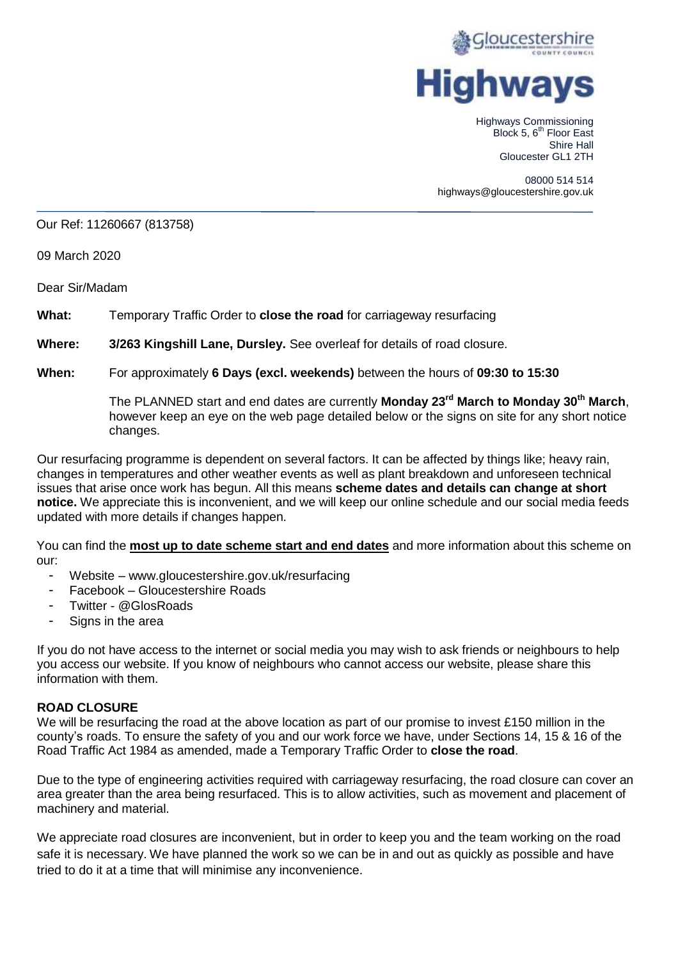

Highways Commissioning Block 5, 6<sup>th</sup> Floor East Shire Hall Gloucester GL1 2TH

08000 514 514 highways@gloucestershire.gov.uk

### Our Ref: 11260667 (813758)

09 March 2020

Dear Sir/Madam

**What:** Temporary Traffic Order to **close the road** for carriageway resurfacing

**Where: 3/263 Kingshill Lane, Dursley.** See overleaf for details of road closure.

### **When:** For approximately **6 Days (excl. weekends)** between the hours of **09:30 to 15:30**

The PLANNED start and end dates are currently **Monday 23rd March to Monday 30th March**, however keep an eye on the web page detailed below or the signs on site for any short notice changes.

Our resurfacing programme is dependent on several factors. It can be affected by things like; heavy rain, changes in temperatures and other weather events as well as plant breakdown and unforeseen technical issues that arise once work has begun. All this means **scheme dates and details can change at short notice.** We appreciate this is inconvenient, and we will keep our online schedule and our social media feeds updated with more details if changes happen.

You can find the **most up to date scheme start and end dates** and more information about this scheme on our:

- Website www.gloucestershire.gov.uk/resurfacing
- Facebook Gloucestershire Roads
- Twitter @GlosRoads
- Signs in the area

If you do not have access to the internet or social media you may wish to ask friends or neighbours to help you access our website. If you know of neighbours who cannot access our website, please share this information with them.

## **ROAD CLOSURE**

We will be resurfacing the road at the above location as part of our promise to invest £150 million in the county's roads. To ensure the safety of you and our work force we have, under Sections 14, 15 & 16 of the Road Traffic Act 1984 as amended, made a Temporary Traffic Order to **close the road**.

Due to the type of engineering activities required with carriageway resurfacing, the road closure can cover an area greater than the area being resurfaced. This is to allow activities, such as movement and placement of machinery and material.

We appreciate road closures are inconvenient, but in order to keep you and the team working on the road safe it is necessary. We have planned the work so we can be in and out as quickly as possible and have tried to do it at a time that will minimise any inconvenience.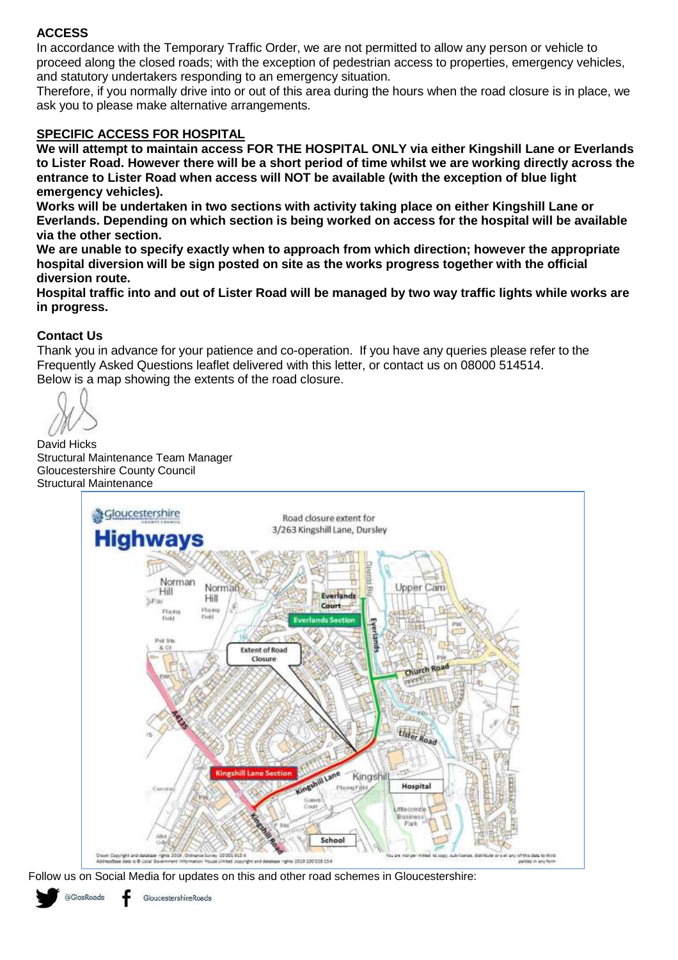# **ACCESS**

In accordance with the Temporary Traffic Order, we are not permitted to allow any person or vehicle to proceed along the closed roads; with the exception of pedestrian access to properties, emergency vehicles, and statutory undertakers responding to an emergency situation.

Therefore, if you normally drive into or out of this area during the hours when the road closure is in place, we ask you to please make alternative arrangements.

# **SPECIFIC ACCESS FOR HOSPITAL**

**We will attempt to maintain access FOR THE HOSPITAL ONLY via either Kingshill Lane or Everlands to Lister Road. However there will be a short period of time whilst we are working directly across the entrance to Lister Road when access will NOT be available (with the exception of blue light emergency vehicles).**

**Works will be undertaken in two sections with activity taking place on either Kingshill Lane or Everlands. Depending on which section is being worked on access for the hospital will be available via the other section.**

**We are unable to specify exactly when to approach from which direction; however the appropriate hospital diversion will be sign posted on site as the works progress together with the official diversion route.**

**Hospital traffic into and out of Lister Road will be managed by two way traffic lights while works are in progress.**

## **Contact Us**

Thank you in advance for your patience and co-operation. If you have any queries please refer to the Frequently Asked Questions leaflet delivered with this letter, or contact us on 08000 514514. Below is a map showing the extents of the road closure.

David Hicks Structural Maintenance Team Manager Gloucestershire County Council Structural Maintenance



Follow us on Social Media for updates on this and other road schemes in Gloucestershire: